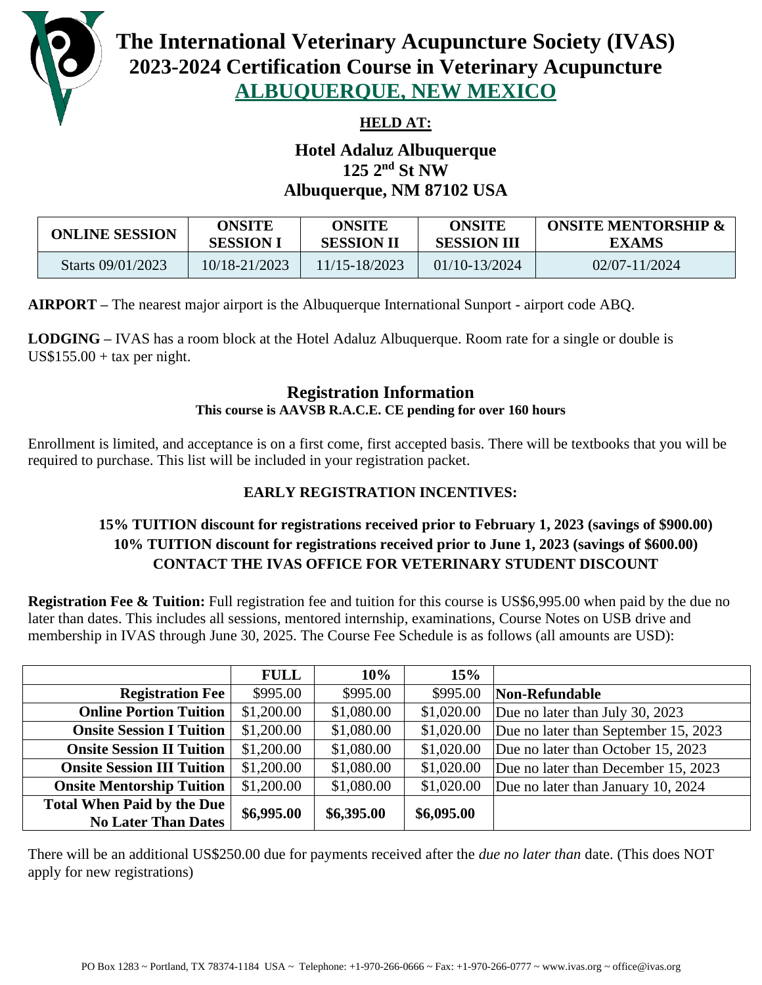

# **The International Veterinary Acupuncture Society (IVAS) 2023-2024 Certification Course in Veterinary Acupuncture ALBUQUERQUE, NEW MEXICO**

### **HELD AT:**

## **Hotel Adaluz Albuquerque 125 2nd St NW Albuquerque, NM 87102 USA**

| <b>ONLINE SESSION</b> | ONSITE           | ONSITE            | ONSITE             | <b>ONSITE MENTORSHIP &amp;</b> |
|-----------------------|------------------|-------------------|--------------------|--------------------------------|
|                       | <b>SESSION 1</b> | <b>SESSION II</b> | <b>SESSION III</b> | <b>EXAMS</b>                   |
| Starts 09/01/2023     | 10/18-21/2023    | 11/15-18/2023     | 01/10-13/2024      | $02/07 - 11/2024$              |

**AIRPORT –** The nearest major airport is the Albuquerque International Sunport - airport code ABQ.

**LODGING –** IVAS has a room block at the Hotel Adaluz Albuquerque. Room rate for a single or double is  $US$155.00 + tax$  per night.

#### **Registration Information This course is AAVSB R.A.C.E. CE pending for over 160 hours**

Enrollment is limited, and acceptance is on a first come, first accepted basis. There will be textbooks that you will be required to purchase. This list will be included in your registration packet.

#### **EARLY REGISTRATION INCENTIVES:**

#### **15% TUITION discount for registrations received prior to February 1, 2023 (savings of \$900.00) 10% TUITION discount for registrations received prior to June 1, 2023 (savings of \$600.00) CONTACT THE IVAS OFFICE FOR VETERINARY STUDENT DISCOUNT**

**Registration Fee & Tuition:** Full registration fee and tuition for this course is US\$6,995.00 when paid by the due no later than dates. This includes all sessions, mentored internship, examinations, Course Notes on USB drive and membership in IVAS through June 30, 2025. The Course Fee Schedule is as follows (all amounts are USD):

|                                   | <b>FULL</b> | 10%        | 15%        |                                      |
|-----------------------------------|-------------|------------|------------|--------------------------------------|
| <b>Registration Fee</b>           | \$995.00    | \$995.00   | \$995.00   | Non-Refundable                       |
| <b>Online Portion Tuition</b>     | \$1,200.00  | \$1,080.00 | \$1,020.00 | Due no later than July 30, 2023      |
| <b>Onsite Session I Tuition</b>   | \$1,200.00  | \$1,080.00 | \$1,020.00 | Due no later than September 15, 2023 |
| <b>Onsite Session II Tuition</b>  | \$1,200.00  | \$1,080.00 | \$1,020.00 | Due no later than October 15, 2023   |
| <b>Onsite Session III Tuition</b> | \$1,200.00  | \$1,080.00 | \$1,020.00 | Due no later than December 15, 2023  |
| <b>Onsite Mentorship Tuition</b>  | \$1,200.00  | \$1,080.00 | \$1,020.00 | Due no later than January 10, 2024   |
| <b>Total When Paid by the Due</b> | \$6,995.00  | \$6,395.00 | \$6,095.00 |                                      |
| <b>No Later Than Dates</b>        |             |            |            |                                      |

There will be an additional US\$250.00 due for payments received after the *due no later than* date. (This does NOT apply for new registrations)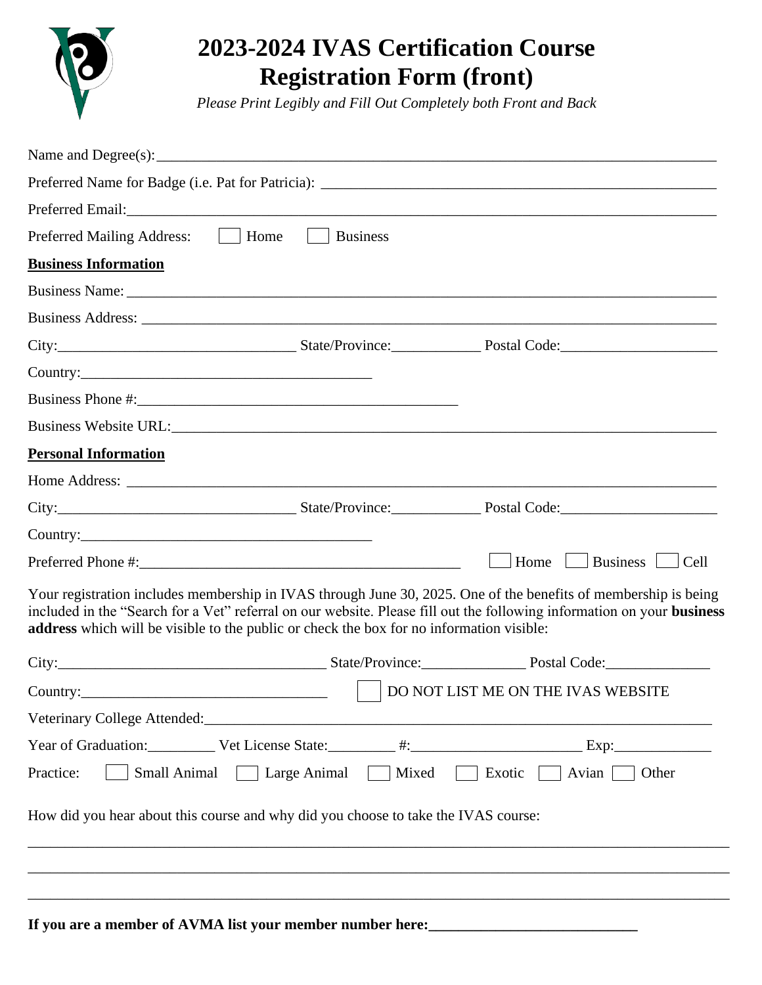

# **2023-2024 IVAS Certification Course Registration Form (front)**

*Please Print Legibly and Fill Out Completely both Front and Back*

|                                                                                                                                                                                                                                      |                                                      | Preferred Name for Badge (i.e. Pat for Patricia): _______________________________                                                                                                                                                         |
|--------------------------------------------------------------------------------------------------------------------------------------------------------------------------------------------------------------------------------------|------------------------------------------------------|-------------------------------------------------------------------------------------------------------------------------------------------------------------------------------------------------------------------------------------------|
| Preferred Email: <u>and a series of the series of the series of the series of the series of the series of the series of the series of the series of the series of the series of the series of the series of the series of the se</u> |                                                      |                                                                                                                                                                                                                                           |
| Home<br><b>Preferred Mailing Address:</b>                                                                                                                                                                                            | <b>Business</b><br>$\mathbb{R}^n$                    |                                                                                                                                                                                                                                           |
| <b>Business Information</b>                                                                                                                                                                                                          |                                                      |                                                                                                                                                                                                                                           |
|                                                                                                                                                                                                                                      |                                                      |                                                                                                                                                                                                                                           |
|                                                                                                                                                                                                                                      |                                                      |                                                                                                                                                                                                                                           |
|                                                                                                                                                                                                                                      |                                                      | City: City: City: City: City: City: City: City: City: City: City: City: City: City: City: City: City: City: City: City: City: City: City: City: City: City: City: City: City: City: City: City: City: City: City: City: City:             |
|                                                                                                                                                                                                                                      |                                                      |                                                                                                                                                                                                                                           |
|                                                                                                                                                                                                                                      |                                                      |                                                                                                                                                                                                                                           |
|                                                                                                                                                                                                                                      |                                                      |                                                                                                                                                                                                                                           |
| <b>Personal Information</b>                                                                                                                                                                                                          |                                                      |                                                                                                                                                                                                                                           |
|                                                                                                                                                                                                                                      |                                                      |                                                                                                                                                                                                                                           |
|                                                                                                                                                                                                                                      |                                                      |                                                                                                                                                                                                                                           |
|                                                                                                                                                                                                                                      |                                                      |                                                                                                                                                                                                                                           |
|                                                                                                                                                                                                                                      |                                                      | Home $\Box$ Business $\Box$<br>$ $ Cell                                                                                                                                                                                                   |
| address which will be visible to the public or check the box for no information visible:                                                                                                                                             |                                                      | Your registration includes membership in IVAS through June 30, 2025. One of the benefits of membership is being<br>included in the "Search for a Vet" referral on our website. Please fill out the following information on your business |
|                                                                                                                                                                                                                                      |                                                      | City: City: City: City: City: City: City: City: City: City: City: City: City: City: City: City: City: City: City: City: City: City: City: City: City: City: City: City: City: City: City: City: City: City: City: City: City:             |
|                                                                                                                                                                                                                                      | $\mathbb{R}^n$                                       | DO NOT LIST ME ON THE IVAS WEBSITE                                                                                                                                                                                                        |
|                                                                                                                                                                                                                                      |                                                      |                                                                                                                                                                                                                                           |
|                                                                                                                                                                                                                                      |                                                      |                                                                                                                                                                                                                                           |
| Practice:                                                                                                                                                                                                                            | Small Animal   Large Animal   Mixed   Exotic   Avian | Other                                                                                                                                                                                                                                     |
| How did you hear about this course and why did you choose to take the IVAS course:                                                                                                                                                   |                                                      |                                                                                                                                                                                                                                           |
|                                                                                                                                                                                                                                      |                                                      |                                                                                                                                                                                                                                           |
|                                                                                                                                                                                                                                      |                                                      |                                                                                                                                                                                                                                           |
|                                                                                                                                                                                                                                      |                                                      |                                                                                                                                                                                                                                           |

**If you are a member of AVMA list your member number here:\_\_\_\_\_\_\_\_\_\_\_\_\_\_\_\_\_\_\_\_\_\_\_\_\_\_\_\_**